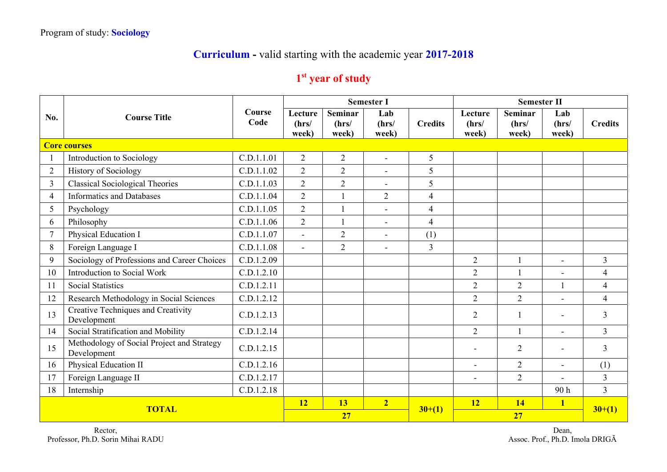## **Curriculum -** valid starting with the academic year **2017-2018**

## **1st year of study**

|                | <b>Course Title</b>                                       |                | <b>Semester I</b><br><b>Semester II</b> |                                  |                       |                |                           |                                  |                       |                |
|----------------|-----------------------------------------------------------|----------------|-----------------------------------------|----------------------------------|-----------------------|----------------|---------------------------|----------------------------------|-----------------------|----------------|
| No.            |                                                           | Course<br>Code | Lecture<br>(hrs/<br>week)               | <b>Seminar</b><br>(hrs/<br>week) | Lab<br>(hrs/<br>week) | <b>Credits</b> | Lecture<br>(hrs/<br>week) | <b>Seminar</b><br>(hrs/<br>week) | Lab<br>(hrs/<br>week) | <b>Credits</b> |
|                | <b>Core courses</b>                                       |                |                                         |                                  |                       |                |                           |                                  |                       |                |
|                | Introduction to Sociology                                 | C.D.1.1.01     | $\overline{2}$                          | $\overline{2}$                   | $\blacksquare$        | 5              |                           |                                  |                       |                |
| $\overline{2}$ | <b>History of Sociology</b>                               | C.D.1.1.02     | $\overline{2}$                          | $\overline{2}$                   | $\blacksquare$        | 5              |                           |                                  |                       |                |
| 3              | <b>Classical Sociological Theories</b>                    | C.D.1.1.03     | $\overline{2}$                          | $\overline{2}$                   | $\blacksquare$        | 5              |                           |                                  |                       |                |
| 4              | <b>Informatics and Databases</b>                          | C.D.1.1.04     | $\overline{2}$                          |                                  | $\overline{2}$        | $\overline{4}$ |                           |                                  |                       |                |
| 5              | Psychology                                                | C.D.1.1.05     | $\overline{2}$                          | $\mathbf{1}$                     | $\blacksquare$        | $\overline{4}$ |                           |                                  |                       |                |
| 6              | Philosophy                                                | C.D.1.1.06     | $\overline{2}$                          | $\mathbf{1}$                     | $\blacksquare$        | $\overline{4}$ |                           |                                  |                       |                |
| 7              | Physical Education I                                      | C.D.1.1.07     | $\overline{a}$                          | $\overline{2}$                   | $\blacksquare$        | (1)            |                           |                                  |                       |                |
| 8              | Foreign Language I                                        | C.D.1.1.08     | $\overline{a}$                          | $\overline{2}$                   | ۰                     | $\overline{3}$ |                           |                                  |                       |                |
| 9              | Sociology of Professions and Career Choices               | C.D.1.2.09     |                                         |                                  |                       |                | $\overline{2}$            |                                  |                       | $\overline{3}$ |
| 10             | Introduction to Social Work                               | C.D.1.2.10     |                                         |                                  |                       |                | $\overline{2}$            | $\mathbf{1}$                     | $\overline{a}$        | $\overline{4}$ |
| 11             | <b>Social Statistics</b>                                  | C.D.1.2.11     |                                         |                                  |                       |                | $\overline{2}$            | $\overline{2}$                   |                       | $\overline{4}$ |
| 12             | Research Methodology in Social Sciences                   | C.D.1.2.12     |                                         |                                  |                       |                | 2                         | $\overline{2}$                   | $\equiv$              | $\overline{4}$ |
| 13             | Creative Techniques and Creativity<br>Development         | C.D.1.2.13     |                                         |                                  |                       |                | $\overline{2}$            |                                  | $\blacksquare$        | $\overline{3}$ |
| 14             | Social Stratification and Mobility                        | C.D.1.2.14     |                                         |                                  |                       |                | $\overline{2}$            |                                  | $\blacksquare$        | $\overline{3}$ |
| 15             | Methodology of Social Project and Strategy<br>Development | C.D.1.2.15     |                                         |                                  |                       |                |                           | $\overline{2}$                   |                       | $\overline{3}$ |
| 16             | Physical Education II                                     | C.D.1.2.16     |                                         |                                  |                       |                |                           | $\overline{2}$                   | $\blacksquare$        | (1)            |
| 17             | Foreign Language II                                       | C.D.1.2.17     |                                         |                                  |                       |                | $\overline{\phantom{a}}$  | $\overline{2}$                   |                       | $\overline{3}$ |
| 18             | Internship                                                | C.D.1.2.18     |                                         |                                  |                       |                |                           |                                  | 90h                   | $\overline{3}$ |
| <b>TOTAL</b>   |                                                           |                | <b>12</b>                               | 13                               | $\overline{2}$        |                | <b>12</b>                 | <b>14</b>                        | $\mathbf{1}$          |                |
|                |                                                           |                | 27                                      |                                  |                       | $30+(1)$       | 27                        |                                  |                       | $30+(1)$       |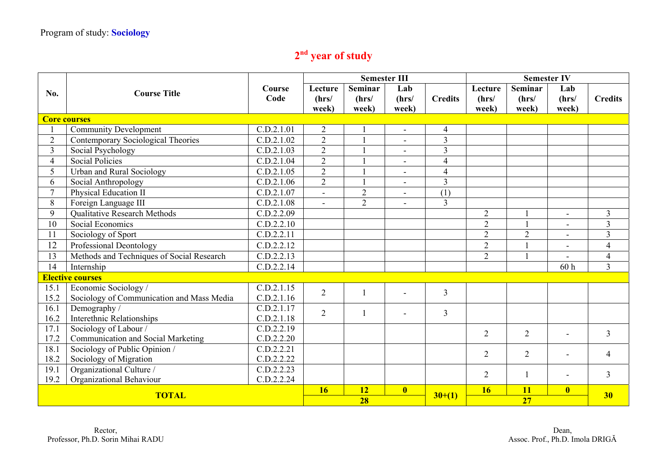## **2nd year of study**

|                                                | <b>Course Title</b>                       |                |                          | <b>Semester III</b><br><b>Semester IV</b> |                          |                |                  |                         |                |                |
|------------------------------------------------|-------------------------------------------|----------------|--------------------------|-------------------------------------------|--------------------------|----------------|------------------|-------------------------|----------------|----------------|
| No.                                            |                                           | Course<br>Code | Lecture                  | <b>Seminar</b>                            | Lab                      | <b>Credits</b> | Lecture<br>(hrs/ | <b>Seminar</b><br>(hrs/ | Lab<br>(hrs/   | <b>Credits</b> |
|                                                |                                           |                | (hrs/<br>week)           | (hrs/<br>week)                            | (hrs/<br>week)           |                | week)            | week)                   | week)          |                |
|                                                | <b>Core courses</b>                       |                |                          |                                           |                          |                |                  |                         |                |                |
|                                                | <b>Community Development</b>              | C.D.2.1.01     | $\overline{2}$           |                                           | $\blacksquare$           | $\overline{4}$ |                  |                         |                |                |
| $\overline{2}$                                 | Contemporary Sociological Theories        | C.D.2.1.02     | $\overline{2}$           |                                           | $\blacksquare$           | $\overline{3}$ |                  |                         |                |                |
| $\overline{3}$                                 | Social Psychology                         | C.D.2.1.03     | $\overline{2}$           |                                           | $\blacksquare$           | $\overline{3}$ |                  |                         |                |                |
| 4                                              | <b>Social Policies</b>                    | C.D.2.1.04     | $\overline{2}$           |                                           | $\blacksquare$           | $\overline{4}$ |                  |                         |                |                |
| 5                                              | <b>Urban and Rural Sociology</b>          | C.D.2.1.05     | $\overline{2}$           |                                           | $\blacksquare$           | $\overline{4}$ |                  |                         |                |                |
| 6                                              | Social Anthropology                       | C.D.2.1.06     | $\overline{2}$           |                                           | $\overline{\phantom{a}}$ | $\overline{3}$ |                  |                         |                |                |
| $\tau$                                         | Physical Education II                     | C.D.2.1.07     | $\overline{\phantom{a}}$ | $\overline{2}$                            | $\overline{\phantom{a}}$ | (1)            |                  |                         |                |                |
| 8                                              | Foreign Language III                      | C.D.2.1.08     | $\blacksquare$           | $\overline{2}$                            | $\blacksquare$           | $\overline{3}$ |                  |                         |                |                |
| 9                                              | <b>Oualitative Research Methods</b>       | C.D.2.2.09     |                          |                                           |                          |                | $\overline{2}$   |                         | $\sim$         | $\overline{3}$ |
| 10                                             | Social Economics                          | C.D.2.2.10     |                          |                                           |                          |                | $\overline{2}$   |                         | $\blacksquare$ | 3              |
| 11                                             | Sociology of Sport                        | C.D.2.2.11     |                          |                                           |                          |                | $\overline{2}$   | $\overline{2}$          | $\blacksquare$ | 3              |
| 12                                             | Professional Deontology                   | C.D.2.2.12     |                          |                                           |                          |                | $\overline{2}$   |                         |                | $\overline{4}$ |
| 13                                             | Methods and Techniques of Social Research | C.D.2.2.13     |                          |                                           |                          |                | $\overline{2}$   | $\overline{1}$          | $\blacksquare$ | $\overline{4}$ |
| 14                                             | Internship                                | C.D.2.2.14     |                          |                                           |                          |                |                  |                         | 60h            | $\overline{3}$ |
|                                                | <b>Elective courses</b>                   |                |                          |                                           |                          |                |                  |                         |                |                |
| 15.1                                           | Economic Sociology /                      | C.D.2.1.15     | $\overline{2}$           | 1                                         | $\blacksquare$           | $\overline{3}$ |                  |                         |                |                |
| 15.2                                           | Sociology of Communication and Mass Media | C.D.2.1.16     |                          |                                           |                          |                |                  |                         |                |                |
| 16.1                                           | Demography /                              | C.D.2.1.17     | $\overline{2}$           |                                           | $\blacksquare$           | $\overline{3}$ |                  |                         |                |                |
| 16.2                                           | Interethnic Relationships                 | C.D.2.1.18     |                          |                                           |                          |                |                  |                         |                |                |
| 17.1                                           | Sociology of Labour /                     | C.D.2.2.19     |                          |                                           |                          |                | $\overline{2}$   | $\overline{2}$          |                | $\overline{3}$ |
| 17.2                                           | Communication and Social Marketing        | C.D.2.2.20     |                          |                                           |                          |                |                  |                         |                |                |
| 18.1                                           | Sociology of Public Opinion /             | C.D.2.2.21     |                          |                                           |                          |                | $\overline{2}$   | $\overline{2}$          |                | 4              |
| 18.2                                           | Sociology of Migration                    | C.D.2.2.22     |                          |                                           |                          |                |                  |                         |                |                |
| 19.1                                           | Organizational Culture /                  | C.D.2.2.23     |                          |                                           |                          |                | $\overline{2}$   | $\mathbf{1}$            |                | $\overline{3}$ |
| Organizational Behaviour<br>19.2<br>C.D.2.2.24 |                                           |                |                          |                                           |                          |                |                  |                         |                |                |
| <b>TOTAL</b>                                   |                                           |                | 16                       | 12                                        | $\overline{\mathbf{0}}$  | $30+(1)$       | <b>16</b>        | <b>11</b>               | $\bf{0}$       | 30             |
|                                                |                                           |                |                          | 28                                        |                          |                | 27               |                         |                |                |